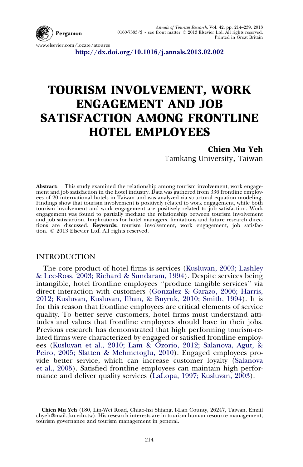

www.elsevier.com/locate/atoures

<http://dx.doi.org/10.1016/j.annals.2013.02.002>

## TOURISM INVOLVEMENT, WORK ENGAGEMENT AND JOB SATISFACTION AMONG FRONTLINE HOTEL EMPLOYEES

Chien Mu Yeh Tamkang University, Taiwan

Abstract: This study examined the relationship among tourism involvement, work engagement and job satisfaction in the hotel industry. Data was gathered from 336 frontline employees of 20 international hotels in Taiwan and was analyzed via structural equation modeling. Findings show that tourism involvement is positively related to work engagement, while both tourism involvement and work engagement are positively related to job satisfaction. Work engagement was found to partially mediate the relationship between tourism involvement and job satisfaction. Implications for hotel managers, limitations and future research directions are discussed. Keywords: tourism involvement, work engagement, job satisfaction. © 2013 Elsevier Ltd. All rights reserved.

## INTRODUCTION

The core product of hotel firms is services ([Kusluvan, 2003; Lashley](#page--1-0) [& Lee-Ross, 2003; Richard & Sundaram, 1994](#page--1-0)). Despite services being intangible, hotel frontline employees ''produce tangible services'' via direct interaction with customers [\(Gonzalez & Garazo, 2006; Harris,](#page--1-0) [2012; Kusluvan, Kusluvan, Ilhan, & Buyruk, 2010; Smith, 1994](#page--1-0)). It is for this reason that frontline employees are critical elements of service quality. To better serve customers, hotel firms must understand attitudes and values that frontline employees should have in their jobs. Previous research has demonstrated that high performing tourism-related firms were characterized by engaged or satisfied frontline employees [\(Kusluvan et al., 2010; Lam & Ozorio, 2012; Salanova, Agut, &](#page--1-0) [Peiro, 2005; Slatten & Mehmetoglu, 2010](#page--1-0)). Engaged employees provide better service, which can increase customer loyalty [\(Salanova](#page--1-0) [et al., 2005](#page--1-0)). Satisfied frontline employees can maintain high performance and deliver quality services ([LaLopa, 1997; Kusluvan, 2003\)](#page--1-0).

Chien Mu Yeh (180, Lin-Wei Road, Chiao-hsi Shiang, I-Lan County, 26247, Taiwan. Email chyeh@mail.tku.edu.tw). His research interests are in tourism human resource management, tourism governance and tourism management in general.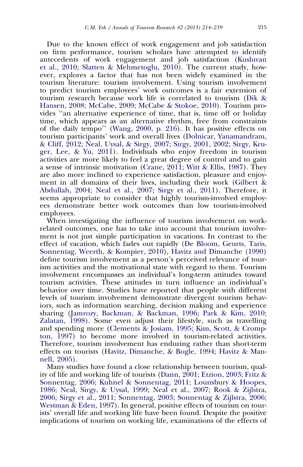Due to the known effect of work engagement and job satisfaction on firm performance, tourism scholars have attempted to identify antecedents of work engagement and job satisfaction ([Kusluvan](#page--1-0) [et al., 2010; Slatten & Mehmetoglu, 2010](#page--1-0)). The current study, however, explores a factor that has not been widely examined in the tourism literature: tourism involvement. Using tourism involvement to predict tourism employees' work outcomes is a fair extension of tourism research because work life is correlated to tourism ([Dik &](#page--1-0) [Hansen, 2008; McCabe, 2009; McCabe & Stokoe, 2010](#page--1-0)). Tourism provides ''an alternative experience of time, that is, time off or holiday time, which appears as an alternative rhythm, free from constraints of the daily tempo'' [\(Wang, 2000, p. 216\)](#page--1-0). It has positive effects on tourism participants' work and overall lives [\(Dolnicar, Yanamandram,](#page--1-0) [& Cliff, 2012; Neal, Uysal, & Sirgy, 2007; Sirgy, 2001, 2002; Sirgy, Kru](#page--1-0)[ger, Lee, & Yu, 2011\)](#page--1-0). Individuals who enjoy freedom in tourism activities are more likely to feel a great degree of control and to gain a sense of intrinsic motivation ([Crane, 2011; Witt & Ellis, 1987](#page--1-0)). They are also more inclined to experience satisfaction, pleasure and enjoyment in all domains of their lives, including their work ([Gilbert &](#page--1-0) [Abdullah, 2004; Neal et al., 2007; Sirgy et al., 2011](#page--1-0)). Therefore, it seems appropriate to consider that highly tourism-involved employees demonstrate better work outcomes than low tourism-involved employees.

When investigating the influence of tourism involvement on workrelated outcomes, one has to take into account that tourism involvement is not just simple participation in vacations. In contrast to the effect of vacation, which fades out rapidly ([De Bloom, Geurts, Taris,](#page--1-0) [Sonnentag, Weerth, & Kompier, 2010\)](#page--1-0), [Havitz and Dimanche \(1990\)](#page--1-0) define tourism involvement as a person's perceived relevance of tourism activities and the motivational state with regard to them. Tourism involvement encompasses an individual's long-term attitudes toward tourism activities. These attitudes in turn influence an individual's behavior over time. Studies have reported that people with different levels of tourism involvement demonstrate divergent tourism behaviors, such as information searching, decision making and experience sharing ([Jamrozy, Backman, & Backman, 1996; Park & Kim, 2010;](#page--1-0) [Zalatan, 1998\)](#page--1-0). Some even adjust their lifestyle, such as travelling and spending more [\(Clements & Josiam, 1995; Kim, Scott, & Cromp](#page--1-0)[ton, 1997](#page--1-0)) to become more involved in tourism-related activities. Therefore, tourism involvement has enduring rather than short-term effects on tourists ([Havitz, Dimanche, & Bogle, 1994;](#page--1-0) [Havitz & Man](#page--1-0)[nell, 2005](#page--1-0)).

Many studies have found a close relationship between tourism, quality of life and working life of tourists ([Dann, 2001; Etzion, 2003; Fritz &](#page--1-0) [Sonnentag, 2006; Kuhnel & Sonnentag, 2011; Lounsbury & Hoopes,](#page--1-0) [1986; Neal, Sirgy, & Uysal, 1999; Neal et al., 2007; Rook & Zijlstra,](#page--1-0) [2006; Sirgy et al., 2011; Sonnentag, 2003; Sonnentag & Zijlstra, 2006;](#page--1-0) [Westman & Eden, 1997\)](#page--1-0). In general, positive effects of tourism on tourists' overall life and working life have been found. Despite the positive implications of tourism on working life, examinations of the effects of